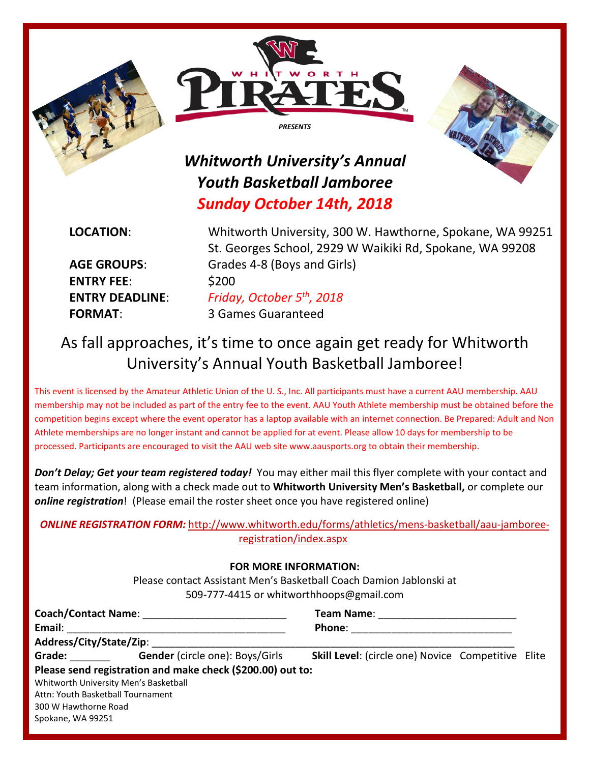





## *Whitworth University's Annual Youth Basketball Jamboree Sunday October 14th, 2018*

**ENTRY FEE**: \$200

**LOCATION**: Whitworth University, 300 W. Hawthorne, Spokane, WA 99251 St. Georges School, 2929 W Waikiki Rd, Spokane, WA 99208 **AGE GROUPS**: Grades 4-8 (Boys and Girls) **ENTRY DEADLINE**: *Friday, October 5th, 2018* **FORMAT**: 3 Games Guaranteed

## As fall approaches, it's time to once again get ready for Whitworth University's Annual Youth Basketball Jamboree!

This event is licensed by the Amateur Athletic Union of the U. S., Inc. All participants must have a current AAU membership. AAU membership may not be included as part of the entry fee to the event. AAU Youth Athlete membership must be obtained before the competition begins except where the event operator has a laptop available with an internet connection. Be Prepared: Adult and Non Athlete memberships are no longer instant and cannot be applied for at event. Please allow 10 days for membership to be processed. Participants are encouraged to visit the AAU web site [www.aausports.org](http://aausports.org/default.asp?a=pg_membership.htm) to obtain their membership.

*Don't Delay; Get your team registered today!* You may either mail this flyer complete with your contact and team information, along with a check made out to **Whitworth University Men's Basketball,** or complete our *online registration*! (Please email the roster sheet once you have registered online)

### *ONLINE REGISTRATION FORM:* [http://www.whitworth.edu/forms/athletics/mens-basketball/aau-jamboree](http://www.whitworth.edu/forms/athletics/mens-basketball/aau-jamboree-registration/index.aspx)[registration/index.aspx](http://www.whitworth.edu/forms/athletics/mens-basketball/aau-jamboree-registration/index.aspx)

#### **FOR MORE INFORMATION:**

Please contact Assistant Men's Basketball Coach Damion Jablonski at 509-777-4415 or whitworthhoops@gmail.com

| Email:                                                                                                                                                                                                                         |                                                            | <b>Team Name:</b> The Contract of the Contract of the Contract of the Contract of the Contract of the Contract of the Contract of the Contract of the Contract of the Contract of the Contract of the Contract of the Contract of t<br>Phone: |  |  |
|--------------------------------------------------------------------------------------------------------------------------------------------------------------------------------------------------------------------------------|------------------------------------------------------------|-----------------------------------------------------------------------------------------------------------------------------------------------------------------------------------------------------------------------------------------------|--|--|
|                                                                                                                                                                                                                                |                                                            |                                                                                                                                                                                                                                               |  |  |
| Grade: The Contract of the Contract of the Contract of the Contract of the Contract of the Contract of the Contract of the Contract of the Contract of the Contract of the Contract of the Contract of the Contract of the Con | Gender (circle one): Boys/Girls                            | <b>Skill Level:</b> (circle one) Novice Competitive Elite                                                                                                                                                                                     |  |  |
|                                                                                                                                                                                                                                | Please send registration and make check (\$200.00) out to: |                                                                                                                                                                                                                                               |  |  |
|                                                                                                                                                                                                                                | Whitworth University Men's Basketball                      |                                                                                                                                                                                                                                               |  |  |
|                                                                                                                                                                                                                                | Attn: Youth Basketball Tournament                          |                                                                                                                                                                                                                                               |  |  |
| 300 W Hawthorne Road                                                                                                                                                                                                           |                                                            |                                                                                                                                                                                                                                               |  |  |
| Spokane, WA 99251                                                                                                                                                                                                              |                                                            |                                                                                                                                                                                                                                               |  |  |